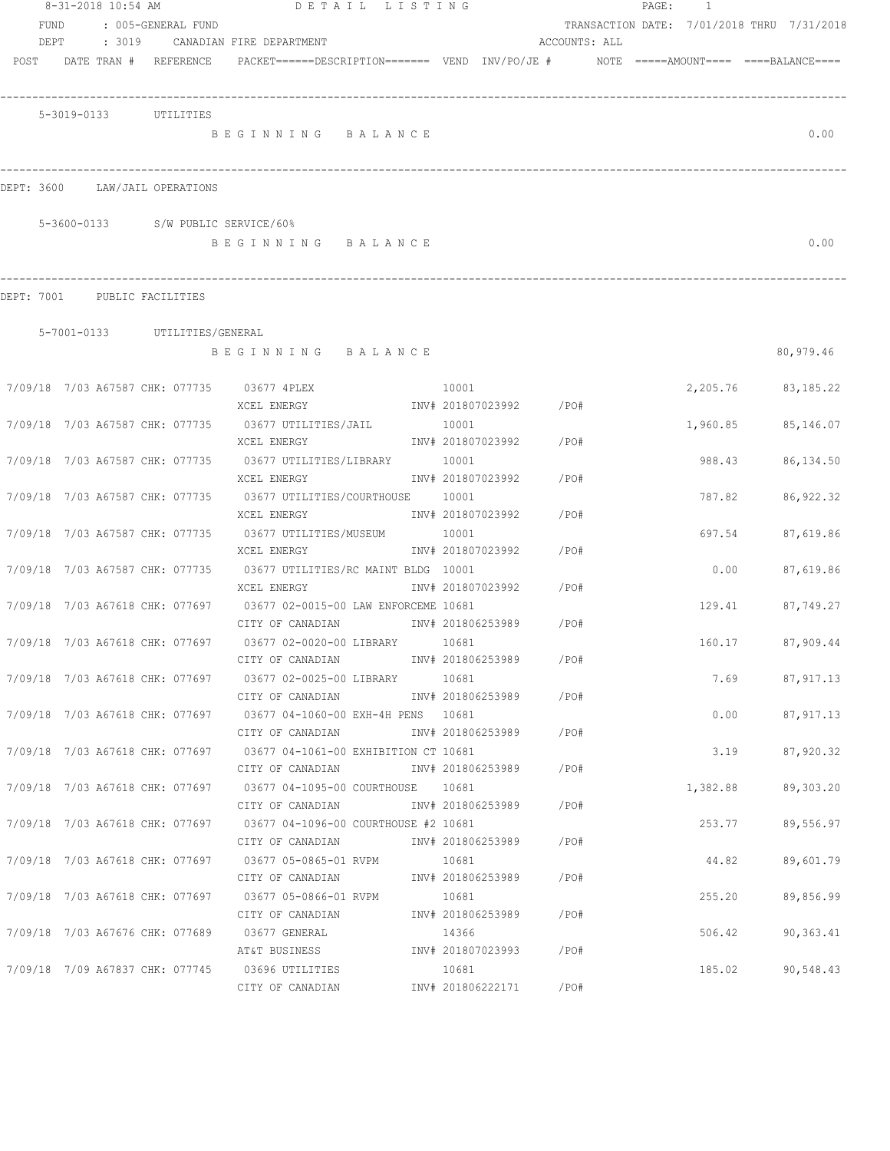|                                 |                       |                               | 8-31-2018 10:54 AM DETAIL LISTING                                                                |                   |                        |               | PAGE: | $\overline{1}$ |      |                                            |
|---------------------------------|-----------------------|-------------------------------|--------------------------------------------------------------------------------------------------|-------------------|------------------------|---------------|-------|----------------|------|--------------------------------------------|
| FUND                            |                       | : 005-GENERAL FUND            |                                                                                                  |                   |                        |               |       |                |      | TRANSACTION DATE: 7/01/2018 THRU 7/31/2018 |
| DEPT                            |                       |                               | : 3019 CANADIAN FIRE DEPARTMENT                                                                  |                   |                        | ACCOUNTS: ALL |       |                |      |                                            |
| POST DATE TRAN # REFERENCE      |                       |                               | $PACKET == == = DESCRIPTION == == == $ VEND $INV/PO/JE$ # $NOTE$ =====AMOUNT==== ====BALANCE==== |                   |                        |               |       |                |      |                                            |
|                                 |                       |                               |                                                                                                  |                   |                        |               |       |                |      |                                            |
|                                 | 5-3019-0133 UTILITIES |                               | BEGINNING BALANCE                                                                                |                   |                        |               |       |                |      | 0.00                                       |
|                                 |                       |                               |                                                                                                  |                   |                        |               |       |                |      |                                            |
| DEPT: 3600                      |                       | LAW/JAIL OPERATIONS           |                                                                                                  |                   |                        |               |       |                |      |                                            |
|                                 |                       |                               | 5-3600-0133 S/W PUBLIC SERVICE/60%                                                               |                   |                        |               |       |                |      |                                            |
|                                 |                       |                               | BEGINNING BALANCE                                                                                |                   |                        |               |       |                |      | 0.00                                       |
| DEPT: 7001 PUBLIC FACILITIES    |                       |                               |                                                                                                  |                   |                        |               |       |                |      |                                            |
|                                 |                       |                               |                                                                                                  |                   |                        |               |       |                |      |                                            |
|                                 |                       | 5-7001-0133 UTILITIES/GENERAL | BEGINNING BALANCE                                                                                |                   |                        |               |       |                |      | 80,979.46                                  |
|                                 |                       |                               |                                                                                                  |                   |                        |               |       |                |      |                                            |
|                                 |                       |                               | 10001<br>7/09/18 7/03 A67587 CHK: 077735 03677 4PLEX                                             |                   |                        |               |       | 2,205.76       |      | 83,185.22                                  |
|                                 |                       |                               | XCEL ENERGY                                                                                      |                   | INV# 201807023992 /PO# |               |       |                |      |                                            |
| 7/09/18 7/03 A67587 CHK: 077735 |                       |                               | 03677 UTILITIES/JAIL                                                                             | 10001             |                        |               |       | 1,960.85       |      | 85,146.07                                  |
|                                 |                       |                               | XCEL ENERGY                                                                                      |                   | INV# 201807023992      | /PO#          |       |                |      |                                            |
| 7/09/18 7/03 A67587 CHK: 077735 |                       |                               | 03677 UTILITIES/LIBRARY                                                                          | 10001             |                        |               |       | 988.43         |      | 86,134.50                                  |
|                                 |                       |                               | XCEL ENERGY                                                                                      | INV# 201807023992 |                        | /PO#          |       |                |      |                                            |
| 7/09/18 7/03 A67587 CHK: 077735 |                       |                               | 03677 UTILITIES/COURTHOUSE                                                                       | 10001             |                        |               |       | 787.82         |      | 86, 922.32                                 |
|                                 |                       |                               | XCEL ENERGY                                                                                      | INV# 201807023992 |                        | /PO#          |       |                |      |                                            |
| 7/09/18 7/03 A67587 CHK: 077735 |                       |                               | 03677 UTILITIES/MUSEUM                                                                           | 10001             |                        |               |       | 697.54         |      | 87,619.86                                  |
|                                 |                       |                               | XCEL ENERGY                                                                                      | INV# 201807023992 |                        | /PO#          |       |                |      |                                            |
| 7/09/18 7/03 A67587 CHK: 077735 |                       |                               | 03677 UTILITIES/RC MAINT BLDG 10001<br>XCEL ENERGY                                               | INV# 201807023992 |                        | /PO#          |       | 0.00           |      | 87,619.86                                  |
| 7/09/18 7/03 A67618 CHK: 077697 |                       |                               | 03677 02-0015-00 LAW ENFORCEME 10681                                                             |                   |                        |               |       | 129.41         |      | 87,749.27                                  |
|                                 |                       |                               | CITY OF CANADIAN INV# 201806253989                                                               |                   |                        | /PO#          |       |                |      |                                            |
| 7/09/18 7/03 A67618 CHK: 077697 |                       |                               | 03677 02-0020-00 LIBRARY 10681                                                                   |                   |                        |               |       | 160.17         |      | 87,909.44                                  |
|                                 |                       |                               | CITY OF CANADIAN                                                                                 |                   | INV# 201806253989      | /PO#          |       |                |      |                                            |
|                                 |                       |                               | 7/09/18 7/03 A67618 CHK: 077697 03677 02-0025-00 LIBRARY 10681                                   |                   |                        |               |       |                | 7.69 | 87,917.13                                  |
|                                 |                       |                               | CITY OF CANADIAN                                                                                 |                   | INV# 201806253989 /PO# |               |       |                |      |                                            |
|                                 |                       |                               | 7/09/18 7/03 A67618 CHK: 077697 03677 04-1060-00 EXH-4H PENS 10681                               |                   |                        |               |       |                | 0.00 | 87,917.13                                  |
|                                 |                       |                               | CITY OF CANADIAN                                                                                 | INV# 201806253989 |                        | /PO#          |       |                |      |                                            |
|                                 |                       |                               | 7/09/18 7/03 A67618 CHK: 077697 03677 04-1061-00 EXHIBITION CT 10681                             |                   |                        |               |       |                | 3.19 | 87,920.32                                  |
|                                 |                       |                               | CITY OF CANADIAN                                                                                 | INV# 201806253989 |                        | /PO#          |       |                |      |                                            |
|                                 |                       |                               | 7/09/18 7/03 A67618 CHK: 077697 03677 04-1095-00 COURTHOUSE 10681                                |                   |                        |               |       | 1,382.88       |      | 89,303.20                                  |
|                                 |                       |                               | CITY OF CANADIAN                                                                                 | INV# 201806253989 |                        | /PO#          |       |                |      |                                            |
|                                 |                       |                               | 7/09/18 7/03 A67618 CHK: 077697 03677 04-1096-00 COURTHOUSE #2 10681                             |                   |                        |               |       | 253.77         |      | 89,556.97                                  |
|                                 |                       |                               | CITY OF CANADIAN                                                                                 | INV# 201806253989 |                        | /PO#          |       |                |      |                                            |
| 7/09/18 7/03 A67618 CHK: 077697 |                       |                               | 03677 05-0865-01 RVPM                                                                            | 10681             |                        |               |       | 44.82          |      | 89,601.79                                  |
|                                 |                       |                               | CITY OF CANADIAN                                                                                 | INV# 201806253989 |                        | /PO#          |       |                |      |                                            |
| 7/09/18 7/03 A67618 CHK: 077697 |                       |                               | 03677 05-0866-01 RVPM<br>CITY OF CANADIAN                                                        | 10681             | INV# 201806253989      | / PO#         |       | 255.20         |      | 89,856.99                                  |
|                                 |                       |                               | 7/09/18 7/03 A67676 CHK: 077689 03677 GENERAL                                                    | 14366             |                        |               |       | 506.42         |      | 90,363.41                                  |
|                                 |                       |                               | AT&T BUSINESS                                                                                    |                   | INV# 201807023993 /PO# |               |       |                |      |                                            |
|                                 |                       |                               | 7/09/18 7/09 A67837 CHK: 077745 03696 UTILITIES                                                  | 10681             |                        |               |       | 185.02         |      | 90,548.43                                  |
|                                 |                       |                               | CITY OF CANADIAN                                                                                 |                   | INV# 201806222171 /PO# |               |       |                |      |                                            |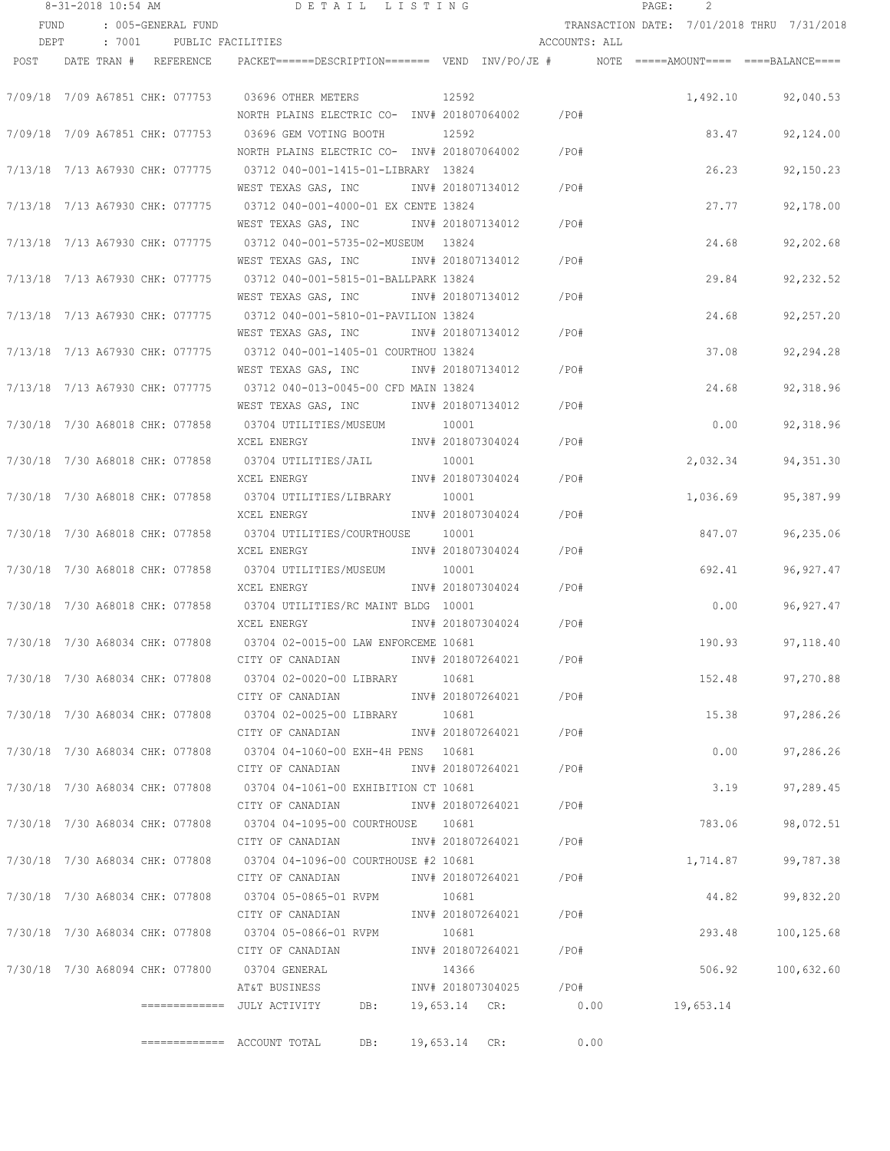|                                 | 8-31-2018 10:54 AM |  |                          | DETAIL LISTING                                                                           |     |               |                   |                              | PAGE: |          |                                            |
|---------------------------------|--------------------|--|--------------------------|------------------------------------------------------------------------------------------|-----|---------------|-------------------|------------------------------|-------|----------|--------------------------------------------|
| FUND                            |                    |  | : 005-GENERAL FUND       |                                                                                          |     |               |                   |                              |       |          | TRANSACTION DATE: 7/01/2018 THRU 7/31/2018 |
| DEPT                            |                    |  | : 7001 PUBLIC FACILITIES |                                                                                          |     |               |                   | ACCOUNTS: ALL                |       |          |                                            |
| POST                            |                    |  | DATE TRAN # REFERENCE    | PACKET======DESCRIPTION======= VEND INV/PO/JE #    NOTE =====AMOUNT==== ====BALANCE====  |     |               |                   |                              |       |          |                                            |
|                                 |                    |  |                          | 7/09/18 7/09 A67851 CHK: 077753 03696 OTHER METERS                                       |     | 12592         |                   |                              |       |          | 1,492.10 92,040.53                         |
|                                 |                    |  |                          | NORTH PLAINS ELECTRIC CO- INV# 201807064002 / PO#                                        |     |               |                   |                              |       |          |                                            |
| 7/09/18 7/09 A67851 CHK: 077753 |                    |  |                          | 03696 GEM VOTING BOOTH<br>NORTH PLAINS ELECTRIC CO- INV# 201807064002                    |     | 12592         |                   | /PO#                         |       | 83.47    | 92,124.00                                  |
|                                 |                    |  |                          |                                                                                          |     |               |                   |                              |       |          |                                            |
| 7/13/18 7/13 A67930 CHK: 077775 |                    |  |                          | 03712 040-001-1415-01-LIBRARY 13824<br>WEST TEXAS GAS, INC                               |     |               | INV# 201807134012 | $/$ PO#                      |       | 26.23    | 92,150.23                                  |
| 7/13/18 7/13 A67930 CHK: 077775 |                    |  |                          | 03712 040-001-4000-01 EX CENTE 13824                                                     |     |               |                   |                              |       | 27.77    | 92,178.00                                  |
|                                 |                    |  |                          | WEST TEXAS GAS, INC                                                                      |     |               | INV# 201807134012 | /PO#                         |       |          |                                            |
| 7/13/18 7/13 A67930 CHK: 077775 |                    |  |                          |                                                                                          |     |               |                   |                              |       | 24.68    | 92,202.68                                  |
|                                 |                    |  |                          | WEST TEXAS GAS, INC                                                                      |     |               | INV# 201807134012 | $/$ PO#                      |       |          |                                            |
| 7/13/18 7/13 A67930 CHK: 077775 |                    |  |                          | 03712 040-001-5815-01-BALLPARK 13824                                                     |     |               |                   |                              |       | 29.84    | 92, 232.52                                 |
|                                 |                    |  |                          | WEST TEXAS GAS, INC                                                                      |     |               | INV# 201807134012 | /PO#                         |       |          |                                            |
| 7/13/18 7/13 A67930 CHK: 077775 |                    |  |                          | 03712 040-001-5810-01-PAVILION 13824                                                     |     |               |                   |                              |       | 24.68    | 92,257.20                                  |
|                                 |                    |  |                          | WEST TEXAS GAS, INC METALL 1NV# 201807134012                                             |     |               |                   | /PO#                         |       |          |                                            |
| 7/13/18 7/13 A67930 CHK: 077775 |                    |  |                          | 03712 040-001-1405-01 COURTHOU 13824                                                     |     |               |                   |                              |       | 37.08    | 92,294.28                                  |
|                                 |                    |  |                          | WEST TEXAS GAS, INC MW# 201807134012                                                     |     |               |                   | /PO#                         |       |          |                                            |
| 7/13/18 7/13 A67930 CHK: 077775 |                    |  |                          | 03712 040-013-0045-00 CFD MAIN 13824                                                     |     |               |                   |                              |       | 24.68    | 92,318.96                                  |
|                                 |                    |  |                          | WEST TEXAS GAS, INC MONTH 201807134012 / PO#                                             |     |               |                   |                              |       |          |                                            |
|                                 |                    |  |                          |                                                                                          |     | 10001         |                   |                              |       | 0.00     | 92,318.96                                  |
|                                 |                    |  |                          | XCEL ENERGY                                                                              |     |               |                   | INV# 201807304024 /PO#       |       |          |                                            |
|                                 |                    |  |                          | 7/30/18  7/30  A68018  CHK:  077858  03704  UTILITIES/JAIL                               |     | 10001         |                   |                              |       | 2,032.34 | 94, 351.30                                 |
|                                 |                    |  |                          | XCEL ENERGY                                                                              |     |               |                   | INV# 201807304024 /PO#       |       |          |                                            |
| 7/30/18 7/30 A68018 CHK: 077858 |                    |  |                          | 03704 UTILITIES/LIBRARY 10001                                                            |     |               |                   |                              |       | 1,036.69 | 95,387.99                                  |
|                                 |                    |  |                          | XCEL ENERGY                                                                              |     |               | INV# 201807304024 | /PO#                         |       |          |                                            |
| 7/30/18 7/30 A68018 CHK: 077858 |                    |  |                          | 03704 UTILITIES/COURTHOUSE 10001                                                         |     |               |                   |                              |       | 847.07   | 96,235.06                                  |
|                                 |                    |  |                          | XCEL ENERGY                                                                              |     |               | INV# 201807304024 | /PO#                         |       |          |                                            |
| 7/30/18 7/30 A68018 CHK: 077858 |                    |  |                          | 03704 UTILITIES/MUSEUM                                                                   |     | 10001         |                   |                              |       | 692.41   | 96, 927.47                                 |
|                                 |                    |  |                          | XCEL ENERGY                                                                              |     |               | INV# 201807304024 | /PO#                         |       |          |                                            |
| 7/30/18 7/30 A68018 CHK: 077858 |                    |  |                          | 03704 UTILITIES/RC MAINT BLDG 10001                                                      |     |               |                   |                              |       | 0.00     | 96, 927.47                                 |
|                                 |                    |  |                          | XCEL ENERGY                                                                              |     |               | INV# 201807304024 | $/$ PO#                      |       |          |                                            |
| 7/30/18 7/30 A68034 CHK: 077808 |                    |  |                          | 03704 02-0015-00 LAW ENFORCEME 10681                                                     |     |               |                   |                              |       | 190.93   | 97,118.40                                  |
|                                 |                    |  |                          | CITY OF CANADIAN                                                                         |     |               | INV# 201807264021 | /PO#                         |       |          |                                            |
|                                 |                    |  |                          |                                                                                          |     | 10681         |                   |                              |       | 152.48   | 97,270.88                                  |
|                                 |                    |  |                          | CITY OF CANADIAN                                                                         |     |               |                   | INV# 201807264021 /PO#       |       |          |                                            |
|                                 |                    |  |                          | 7/30/18 7/30 A68034 CHK: 077808 03704 02-0025-00 LIBRARY 10681                           |     |               |                   |                              |       | 15.38    | 97,286.26                                  |
|                                 |                    |  |                          | CITY OF CANADIAN                                                                         |     |               |                   | INV# 201807264021 /PO#       |       |          |                                            |
|                                 |                    |  |                          | 7/30/18 7/30 A68034 CHK: 077808 03704 04-1060-00 EXH-4H PENS 10681                       |     |               |                   |                              |       | 0.00     |                                            |
|                                 |                    |  |                          | CITY OF CANADIAN                                                                         |     |               |                   | INV# 201807264021 /PO#       |       |          | 97,286.26                                  |
|                                 |                    |  |                          | 7/30/18 7/30 A68034 CHK: 077808 03704 04-1061-00 EXHIBITION CT 10681                     |     |               |                   |                              |       | 3.19     |                                            |
|                                 |                    |  |                          | CITY OF CANADIAN                                                                         |     |               |                   | INV# 201807264021 /PO#       |       |          | 97,289.45                                  |
|                                 |                    |  |                          |                                                                                          |     |               |                   |                              |       |          |                                            |
|                                 |                    |  |                          | 7/30/18 7/30 A68034 CHK: 077808 03704 04-1095-00 COURTHOUSE 10681<br>CITY OF CANADIAN    |     |               |                   | INV# 201807264021 /PO#       |       | 783.06   | 98,072.51                                  |
|                                 |                    |  |                          |                                                                                          |     |               |                   |                              |       |          |                                            |
|                                 |                    |  |                          | 7/30/18 7/30 A68034 CHK: 077808 03704 04-1096-00 COURTHOUSE #2 10681<br>CITY OF CANADIAN |     |               |                   | INV# 201807264021 /PO#       |       | 1,714.87 | 99,787.38                                  |
|                                 |                    |  |                          |                                                                                          |     |               |                   |                              |       |          |                                            |
|                                 |                    |  |                          | 7/30/18  7/30  A68034  CHK:  077808  03704  05-0865-01  RVPM                             |     | 10681         |                   | INV# 201807264021 / PO#      |       | 44.82    | 99,832.20                                  |
|                                 |                    |  |                          | CITY OF CANADIAN                                                                         |     |               |                   |                              |       |          |                                            |
|                                 |                    |  |                          | 7/30/18  7/30  A68034  CHK:  077808   03704  05-0866-01   RVPM<br>CITY OF CANADIAN       |     | 10681         |                   | INV# 201807264021 /PO#       |       | 293.48   | 100,125.68                                 |
|                                 |                    |  |                          |                                                                                          |     |               |                   |                              |       |          |                                            |
|                                 |                    |  |                          | 7/30/18 7/30 A68094 CHK: 077800 03704 GENERAL                                            |     | 14366         |                   | INV# 201807304025 /PO#       |       | 506.92   | 100,632.60                                 |
|                                 |                    |  |                          | AT&T BUSINESS                                                                            |     |               |                   |                              |       |          |                                            |
|                                 |                    |  |                          |                                                                                          |     |               |                   | 19,653.14 CR: 0.00 19,653.14 |       |          |                                            |
|                                 |                    |  |                          |                                                                                          | DB: | 19,653.14 CR: |                   | 0.00                         |       |          |                                            |
|                                 |                    |  |                          |                                                                                          |     |               |                   |                              |       |          |                                            |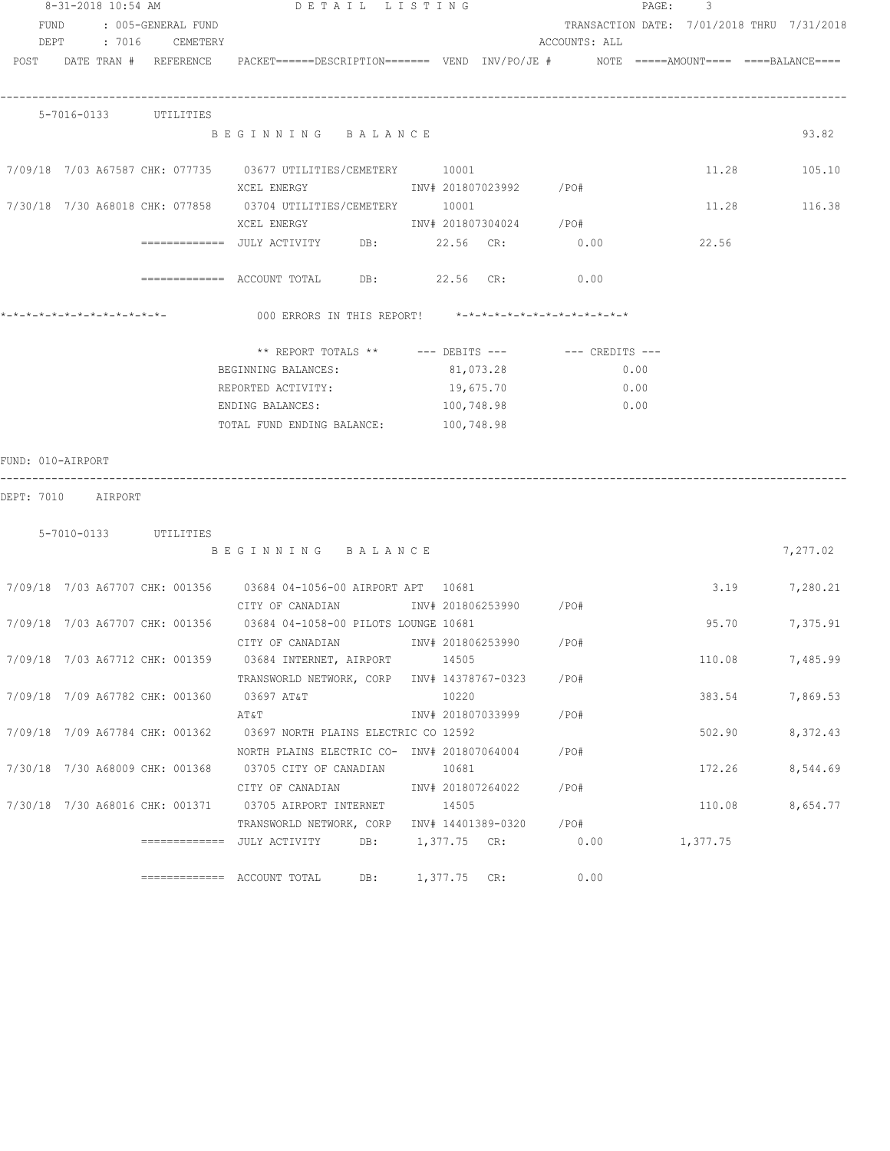|                    | 8-31-2018 10:54 AM |                         | DETAIL LISTING                                                                                                  |  |       |                        |               | PAGE: | 3                                          |          |
|--------------------|--------------------|-------------------------|-----------------------------------------------------------------------------------------------------------------|--|-------|------------------------|---------------|-------|--------------------------------------------|----------|
|                    |                    | FUND : 005-GENERAL FUND |                                                                                                                 |  |       |                        |               |       | TRANSACTION DATE: 7/01/2018 THRU 7/31/2018 |          |
|                    |                    | DEPT : 7016 CEMETERY    |                                                                                                                 |  |       |                        | ACCOUNTS: ALL |       |                                            |          |
|                    |                    |                         | POST DATE TRAN # REFERENCE PACKET======DESCRIPTION======= VEND INV/PO/JE # NOTE =====AMOUNT==== ====BALANCE==== |  |       |                        |               |       |                                            |          |
|                    |                    |                         |                                                                                                                 |  |       |                        |               |       |                                            |          |
|                    |                    |                         |                                                                                                                 |  |       |                        |               |       |                                            |          |
|                    |                    | 5-7016-0133 UTILITIES   | BEGINNING BALANCE                                                                                               |  |       |                        |               |       |                                            | 93.82    |
|                    |                    |                         |                                                                                                                 |  |       |                        |               |       |                                            |          |
|                    |                    |                         | 7/09/18 7/03 A67587 CHK: 077735 03677 UTILITIES/CEMETERY 10001                                                  |  |       |                        |               |       | 11.28 105.10                               |          |
|                    |                    |                         | XCEL ENERGY                           INV# 201807023992         /PO#                                            |  |       |                        |               |       |                                            |          |
|                    |                    |                         | 7/30/18 7/30 A68018 CHK: 077858 03704 UTILITIES/CEMETERY 10001                                                  |  |       |                        |               |       | 11.28 116.38                               |          |
|                    |                    |                         | XCEL ENERGY 1NV# 201807304024 /PO#                                                                              |  |       |                        |               |       |                                            |          |
|                    |                    |                         | ============= JULY ACTIVITY DB: 22.56 CR: 0.00                                                                  |  |       |                        |               |       | 22.56                                      |          |
|                    |                    |                         |                                                                                                                 |  |       |                        |               |       |                                            |          |
|                    |                    |                         | ============ ACCOUNT TOTAL DB: 22.56 CR: 0.00                                                                   |  |       |                        |               |       |                                            |          |
|                    |                    |                         |                                                                                                                 |  |       |                        |               |       |                                            |          |
|                    |                    |                         | 000 ERRORS IN THIS REPORT! *-*-*-*-*-*-*-*-*-*-*-*-*-*-                                                         |  |       |                        |               |       |                                            |          |
|                    |                    |                         |                                                                                                                 |  |       |                        |               |       |                                            |          |
|                    |                    |                         | ** REPORT TOTALS ** $---$ DEBITS --- $---$ CREDITS ---                                                          |  |       |                        |               |       |                                            |          |
|                    |                    |                         | BEGINNING BALANCES:                                                                                             |  |       | 81,073.28              | 0.00          |       |                                            |          |
|                    |                    |                         | REPORTED ACTIVITY: 19,675.70                                                                                    |  |       |                        | 0.00          |       |                                            |          |
|                    |                    |                         | ENDING BALANCES: 100,748.98<br>TOTAL FUND ENDING BALANCE: 100,748.98                                            |  |       |                        | 0.00          |       |                                            |          |
|                    |                    |                         |                                                                                                                 |  |       |                        |               |       |                                            |          |
| FUND: 010-AIRPORT  |                    |                         |                                                                                                                 |  |       |                        |               |       |                                            |          |
|                    |                    |                         |                                                                                                                 |  |       |                        |               |       |                                            |          |
| DEPT: 7010 AIRPORT |                    |                         |                                                                                                                 |  |       |                        |               |       |                                            |          |
|                    |                    |                         |                                                                                                                 |  |       |                        |               |       |                                            |          |
|                    |                    | 5-7010-0133 UTILITIES   |                                                                                                                 |  |       |                        |               |       |                                            |          |
|                    |                    |                         | BEGINNING BALANCE                                                                                               |  |       |                        |               |       |                                            | 7,277.02 |
|                    |                    |                         |                                                                                                                 |  |       |                        |               |       |                                            |          |
|                    |                    |                         | 7/09/18 7/03 A67707 CHK: 001356 03684 04-1056-00 AIRPORT APT 10681                                              |  |       |                        |               |       | 3.19 7,280.21                              |          |
|                    |                    |                         | CITY OF CANADIAN              INV# 201806253990      /PO#                                                       |  |       |                        |               |       |                                            |          |
|                    |                    |                         | 7/09/18 7/03 A67707 CHK: 001356 03684 04-1058-00 PILOTS LOUNGE 10681                                            |  |       |                        |               |       | 95.70                                      | 7,375.91 |
|                    |                    |                         | CITY OF CANADIAN 1NV# 201806253990 / PO#                                                                        |  |       |                        |               |       |                                            |          |
|                    |                    |                         | 7/09/18 7/03 A67712 CHK: 001359 03684 INTERNET, AIRPORT 14505                                                   |  |       |                        |               |       | 110.08                                     | 7,485.99 |
|                    |                    |                         | TRANSWORLD NETWORK, CORP INV# 14378767-0323 /PO#                                                                |  |       |                        |               |       |                                            |          |
|                    |                    |                         | 7/09/18 7/09 A67782 CHK: 001360 03697 AT&T                                                                      |  | 10220 |                        |               |       | 383.54                                     | 7,869.53 |
|                    |                    |                         | $AT\&T$                                                                                                         |  |       | INV# 201807033999 /PO# |               |       |                                            |          |
|                    |                    |                         | 7/09/18 7/09 A67784 CHK: 001362 03697 NORTH PLAINS ELECTRIC CO 12592                                            |  |       |                        |               |       | 502.90                                     | 8,372.43 |
|                    |                    |                         | NORTH PLAINS ELECTRIC CO- INV# 201807064004 / PO#                                                               |  |       |                        |               |       |                                            |          |
|                    |                    |                         | 7/30/18 7/30 A68009 CHK: 001368 03705 CITY OF CANADIAN 10681                                                    |  |       |                        |               |       | 172.26                                     | 8,544.69 |
|                    |                    |                         | CITY OF CANADIAN                                                                                                |  |       | INV# 201807264022 /PO# |               |       |                                            |          |
|                    |                    |                         | 7/30/18 7/30 A68016 CHK: 001371 03705 AIRPORT INTERNET 14505                                                    |  |       |                        |               |       | 110.08                                     | 8,654.77 |
|                    |                    |                         | TRANSWORLD NETWORK, CORP INV# 14401389-0320 /PO#                                                                |  |       |                        |               |       |                                            |          |
|                    |                    |                         | =============  JULY ACTIVITY      DB:      1,377.75   CR:               0.00               1,377.75             |  |       |                        |               |       |                                            |          |
|                    |                    |                         | ============ ACCOUNT TOTAL DB: 1,377.75 CR: 0.00                                                                |  |       |                        |               |       |                                            |          |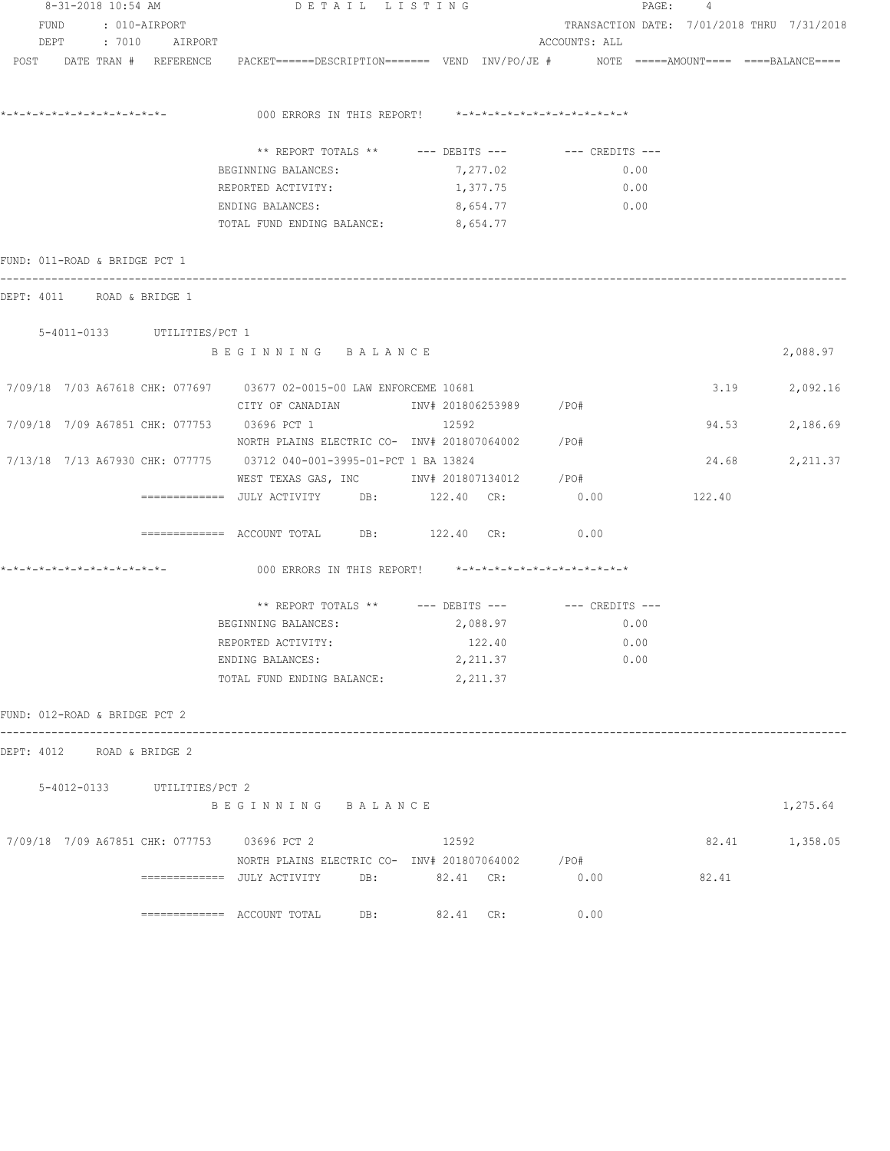| 8-31-2018 10:54 AM            |  |  |                             | DETAIL LISTING                                                                                                                       |          |                                            | PAGE: 4 |                |  |  |
|-------------------------------|--|--|-----------------------------|--------------------------------------------------------------------------------------------------------------------------------------|----------|--------------------------------------------|---------|----------------|--|--|
|                               |  |  | FUND : 010-AIRPORT          |                                                                                                                                      |          | TRANSACTION DATE: 7/01/2018 THRU 7/31/2018 |         |                |  |  |
|                               |  |  | DEPT : 7010 AIRPORT         |                                                                                                                                      |          | ACCOUNTS: ALL                              |         |                |  |  |
|                               |  |  |                             | POST DATE TRAN # REFERENCE PACKET======DESCRIPTION======= VEND INV/PO/JE # NOTE =====AMOUNT==== ====BALANCE====                      |          |                                            |         |                |  |  |
|                               |  |  |                             | 000 ERRORS IN THIS REPORT! *-*-*-*-*-*-*-*-*-*-*-*-*-*-                                                                              |          |                                            |         |                |  |  |
|                               |  |  |                             |                                                                                                                                      |          |                                            |         |                |  |  |
|                               |  |  |                             | ** REPORT TOTALS ** --- DEBITS --- -- CREDITS ---                                                                                    |          |                                            |         |                |  |  |
|                               |  |  |                             | BEGINNING BALANCES:                                                                                                                  | 7,277.02 | 0.00<br>0.00                               |         |                |  |  |
|                               |  |  |                             | REPORTED ACTIVITY:                                                                                                                   | 1,377.75 | 0.00                                       |         |                |  |  |
|                               |  |  |                             | ENDING BALANCES:<br>TOTAL FUND ENDING BALANCE: 8,654.77                                                                              | 8,654.77 |                                            |         |                |  |  |
| FUND: 011-ROAD & BRIDGE PCT 1 |  |  |                             |                                                                                                                                      |          |                                            |         |                |  |  |
| DEPT: 4011 ROAD & BRIDGE 1    |  |  |                             |                                                                                                                                      |          |                                            |         |                |  |  |
|                               |  |  | 5-4011-0133 UTILITIES/PCT 1 |                                                                                                                                      |          |                                            |         |                |  |  |
|                               |  |  |                             | BEGINNING BALANCE                                                                                                                    |          |                                            |         | 2,088.97       |  |  |
|                               |  |  |                             | 7/09/18 7/03 A67618 CHK: 077697 03677 02-0015-00 LAW ENFORCEME 10681<br>CITY OF CANADIAN               INV# 201806253989        /PO# |          |                                            |         | 3.19 2,092.16  |  |  |
|                               |  |  |                             | 7/09/18 7/09 A67851 CHK: 077753 03696 PCT 1                                                                                          | 12592    |                                            |         | 94.53 2,186.69 |  |  |
|                               |  |  |                             | NORTH PLAINS ELECTRIC CO- INV# 201807064002 / PO#                                                                                    |          |                                            |         |                |  |  |
|                               |  |  |                             | 7/13/18 7/13 A67930 CHK: 077775 03712 040-001-3995-01-PCT 1 BA 13824                                                                 |          |                                            |         | 24.68 2,211.37 |  |  |
|                               |  |  |                             | WEST TEXAS GAS, INC        INV# 201807134012     /PO#                                                                                |          |                                            |         |                |  |  |
|                               |  |  |                             | ============     JULY  ACTIVITY          DB:              122.40     CR:                     0.00                                    |          |                                            | 122.40  |                |  |  |
|                               |  |  |                             | ============ ACCOUNT TOTAL DB: 122.40 CR: 0.00                                                                                       |          |                                            |         |                |  |  |
| *-*-*-*-*-*-*-*-*-*-*-*-*-*-  |  |  |                             | 000 ERRORS IN THIS REPORT! *-*-*-*-*-*-*-*-*-*-*-*-*-*-                                                                              |          |                                            |         |                |  |  |
|                               |  |  |                             | ** REPORT TOTALS ** --- DEBITS --- -- -- CREDITS ---                                                                                 |          |                                            |         |                |  |  |
|                               |  |  |                             | BEGINNING BALANCES:                                                                                                                  | 2,088.97 | 0.00                                       |         |                |  |  |
|                               |  |  |                             | REPORTED ACTIVITY:                                                                                                                   | 122.40   | 0.00                                       |         |                |  |  |
|                               |  |  |                             | ENDING BALANCES:                                                                                                                     | 2,211.37 | 0.00                                       |         |                |  |  |
|                               |  |  |                             | TOTAL FUND ENDING BALANCE:                                                                                                           | 2,211.37 |                                            |         |                |  |  |
| FUND: 012-ROAD & BRIDGE PCT 2 |  |  |                             |                                                                                                                                      |          |                                            |         |                |  |  |
| DEPT: 4012 ROAD & BRIDGE 2    |  |  |                             |                                                                                                                                      |          |                                            |         |                |  |  |
|                               |  |  | 5-4012-0133 UTILITIES/PCT 2 |                                                                                                                                      |          |                                            |         |                |  |  |
|                               |  |  |                             | BEGINNING BALANCE                                                                                                                    |          |                                            |         | 1,275.64       |  |  |
|                               |  |  |                             | 7/09/18 7/09 A67851 CHK: 077753 03696 PCT 2                                                                                          | 12592    |                                            |         | 82.41 1,358.05 |  |  |
|                               |  |  |                             | NORTH PLAINS ELECTRIC CO- INV# 201807064002 / PO#                                                                                    |          |                                            |         |                |  |  |
|                               |  |  |                             |                                                                                                                                      |          | 0.00                                       | 82.41   |                |  |  |
|                               |  |  |                             | $\texttt{-----}$ ============== ACCOUNT TOTAL DB: 82.41 CR:                                                                          |          | 0.00                                       |         |                |  |  |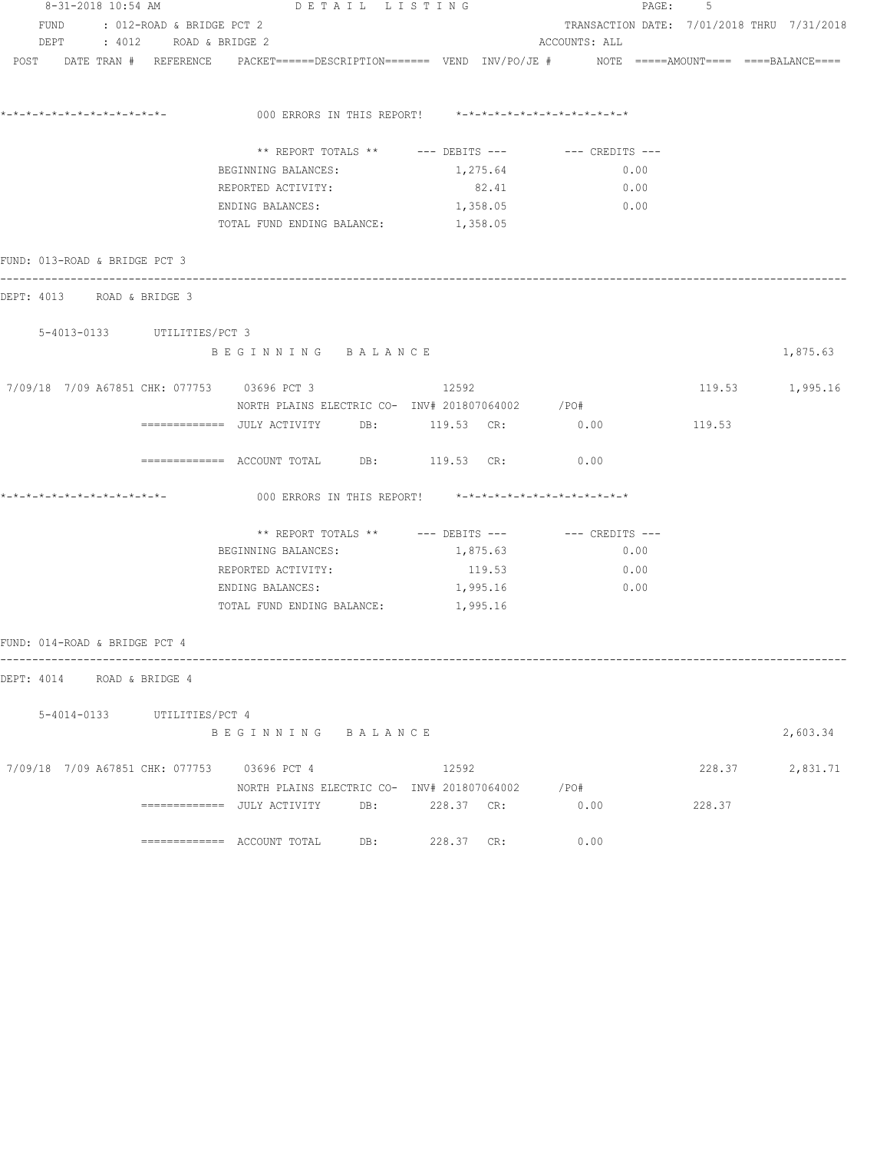| 8-31-2018 10:54 AM                          |                                | DETAIL LISTING                                                                                                 |                                                         |                                            | PAGE: 5 |                 |
|---------------------------------------------|--------------------------------|----------------------------------------------------------------------------------------------------------------|---------------------------------------------------------|--------------------------------------------|---------|-----------------|
|                                             | FUND : 012-ROAD & BRIDGE PCT 2 |                                                                                                                |                                                         | TRANSACTION DATE: 7/01/2018 THRU 7/31/2018 |         |                 |
|                                             | DEPT : 4012 ROAD & BRIDGE 2    |                                                                                                                |                                                         | ACCOUNTS: ALL                              |         |                 |
|                                             |                                | POST DATE TRAN # REFERENCE PACKET======DESCRIPTION======= VEND INV/PO/JE # NOTE =====AMOUNT==== ===BALANCE==== |                                                         |                                            |         |                 |
|                                             |                                |                                                                                                                | 000 ERRORS IN THIS REPORT! *-*-*-*-*-*-*-*-*-*-*-*-*-*- |                                            |         |                 |
|                                             |                                |                                                                                                                | ** REPORT TOTALS ** --- DEBITS --- -- -- CREDITS ---    |                                            |         |                 |
|                                             |                                |                                                                                                                |                                                         |                                            |         |                 |
|                                             |                                | BEGINNING BALANCES:                                                                                            | 1,275.64                                                | 0.00                                       |         |                 |
|                                             |                                | REPORTED ACTIVITY:                                                                                             | 82.41                                                   | 0.00                                       |         |                 |
|                                             |                                | ENDING BALANCES:<br>TOTAL FUND ENDING BALANCE: 1,358.05                                                        | 1,358.05                                                | $\sim$ 0.00                                |         |                 |
| FUND: 013-ROAD & BRIDGE PCT 3               |                                |                                                                                                                |                                                         |                                            |         |                 |
| DEPT: 4013 ROAD & BRIDGE 3                  |                                |                                                                                                                |                                                         |                                            |         |                 |
|                                             | 5-4013-0133 UTILITIES/PCT 3    |                                                                                                                |                                                         |                                            |         |                 |
|                                             |                                | BEGINNING BALANCE                                                                                              |                                                         |                                            |         | 1,875.63        |
| 7/09/18 7/09 A67851 CHK: 077753 03696 PCT 3 |                                |                                                                                                                | 12592                                                   |                                            |         | 119.53 1,995.16 |
|                                             |                                | NORTH PLAINS ELECTRIC CO- INV# 201807064002 / PO#                                                              |                                                         |                                            |         |                 |
|                                             |                                |                                                                                                                |                                                         |                                            | 119.53  |                 |
|                                             |                                | ============ ACCOUNT TOTAL DB: 119.53 CR: 0.00                                                                 |                                                         |                                            |         |                 |
|                                             |                                |                                                                                                                | 000 ERRORS IN THIS REPORT! *-*-*-*-*-*-*-*-*-*-*-*-*-*- |                                            |         |                 |
|                                             |                                |                                                                                                                | ** REPORT TOTALS ** --- DEBITS --- -- -- CREDITS ---    |                                            |         |                 |
|                                             |                                | BEGINNING BALANCES:                                                                                            | 1,875.63                                                | 0.00                                       |         |                 |
|                                             |                                | REPORTED ACTIVITY:                                                                                             | 119.53                                                  | 0.00                                       |         |                 |
|                                             |                                | ENDING BALANCES:                                                                                               | 1,995.16                                                | 0.00                                       |         |                 |
|                                             |                                | TOTAL FUND ENDING BALANCE: 1,995.16                                                                            |                                                         |                                            |         |                 |
| FUND: 014-ROAD & BRIDGE PCT 4               |                                |                                                                                                                |                                                         |                                            |         |                 |
| DEPT: 4014 ROAD & BRIDGE 4                  |                                |                                                                                                                |                                                         |                                            |         |                 |
|                                             | 5-4014-0133 UTILITIES/PCT 4    |                                                                                                                |                                                         |                                            |         |                 |
|                                             |                                | BEGINNING BALANCE                                                                                              |                                                         |                                            |         | 2,603.34        |
| 7/09/18 7/09 A67851 CHK: 077753 03696 PCT 4 |                                |                                                                                                                | 12592                                                   |                                            |         | 228.37 2,831.71 |
|                                             |                                |                                                                                                                | NORTH PLAINS ELECTRIC CO- INV# 201807064002 / PO#       |                                            |         |                 |
|                                             |                                |                                                                                                                |                                                         | 0.00                                       | 228.37  |                 |
|                                             |                                |                                                                                                                | 228.37 CR:                                              | 0.00                                       |         |                 |